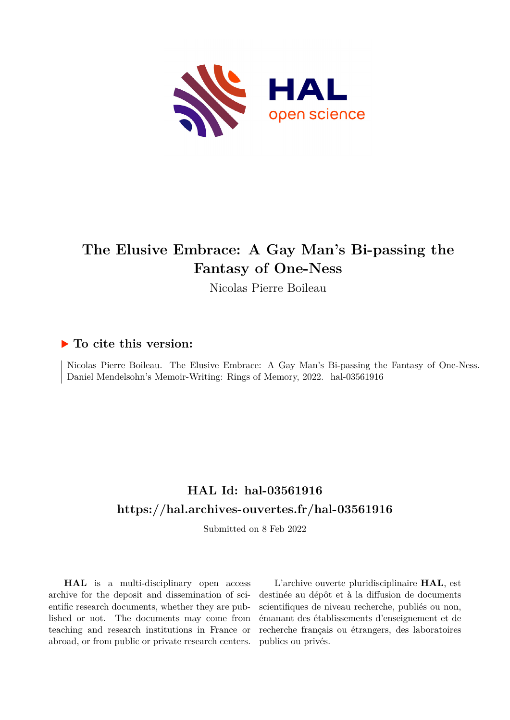

# **The Elusive Embrace: A Gay Man's Bi-passing the Fantasy of One-Ness**

Nicolas Pierre Boileau

### **To cite this version:**

Nicolas Pierre Boileau. The Elusive Embrace: A Gay Man's Bi-passing the Fantasy of One-Ness. Daniel Mendelsohn's Memoir-Writing: Rings of Memory, 2022. hal-03561916

## **HAL Id: hal-03561916 <https://hal.archives-ouvertes.fr/hal-03561916>**

Submitted on 8 Feb 2022

**HAL** is a multi-disciplinary open access archive for the deposit and dissemination of scientific research documents, whether they are published or not. The documents may come from teaching and research institutions in France or abroad, or from public or private research centers.

L'archive ouverte pluridisciplinaire **HAL**, est destinée au dépôt et à la diffusion de documents scientifiques de niveau recherche, publiés ou non, émanant des établissements d'enseignement et de recherche français ou étrangers, des laboratoires publics ou privés.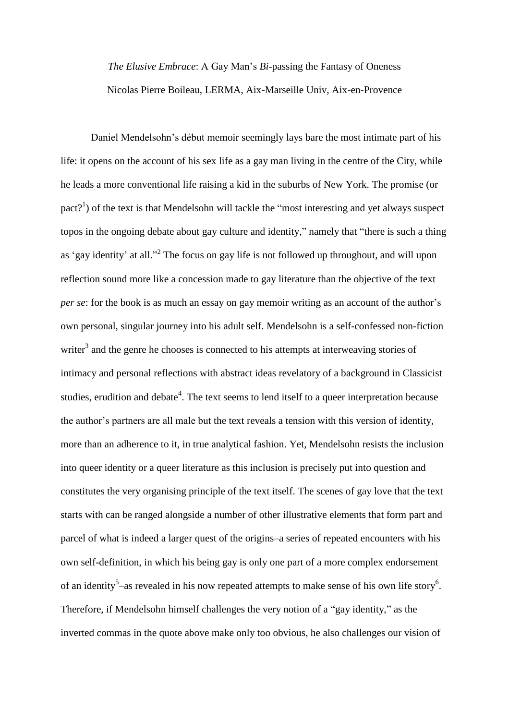*The Elusive Embrace*: A Gay Man's *Bi*-passing the Fantasy of Oneness Nicolas Pierre Boileau, LERMA, Aix-Marseille Univ, Aix-en-Provence

Daniel Mendelsohn's début memoir seemingly lays bare the most intimate part of his life: it opens on the account of his sex life as a gay man living in the centre of the City, while he leads a more conventional life raising a kid in the suburbs of New York. The promise (or pact?<sup>1</sup>) of the text is that Mendelsohn will tackle the "most interesting and yet always suspect topos in the ongoing debate about gay culture and identity," namely that "there is such a thing as 'gay identity' at all."<sup>2</sup> The focus on gay life is not followed up throughout, and will upon reflection sound more like a concession made to gay literature than the objective of the text *per se*: for the book is as much an essay on gay memoir writing as an account of the author's own personal, singular journey into his adult self. Mendelsohn is a self-confessed non-fiction writer<sup>3</sup> and the genre he chooses is connected to his attempts at interweaving stories of intimacy and personal reflections with abstract ideas revelatory of a background in Classicist studies, erudition and debate<sup>4</sup>. The text seems to lend itself to a queer interpretation because the author's partners are all male but the text reveals a tension with this version of identity, more than an adherence to it, in true analytical fashion. Yet, Mendelsohn resists the inclusion into queer identity or a queer literature as this inclusion is precisely put into question and constitutes the very organising principle of the text itself. The scenes of gay love that the text starts with can be ranged alongside a number of other illustrative elements that form part and parcel of what is indeed a larger quest of the origins–a series of repeated encounters with his own self-definition, in which his being gay is only one part of a more complex endorsement of an identity<sup>5</sup>-as revealed in his now repeated attempts to make sense of his own life story<sup>6</sup>. Therefore, if Mendelsohn himself challenges the very notion of a "gay identity," as the inverted commas in the quote above make only too obvious, he also challenges our vision of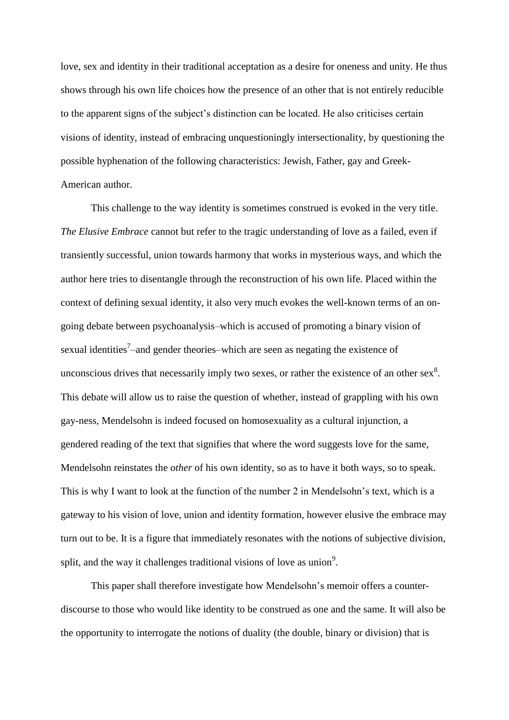love, sex and identity in their traditional acceptation as a desire for oneness and unity. He thus shows through his own life choices how the presence of an other that is not entirely reducible to the apparent signs of the subject's distinction can be located. He also criticises certain visions of identity, instead of embracing unquestioningly intersectionality, by questioning the possible hyphenation of the following characteristics: Jewish, Father, gay and Greek-American author.

This challenge to the way identity is sometimes construed is evoked in the very title. *The Elusive Embrace* cannot but refer to the tragic understanding of love as a failed, even if transiently successful, union towards harmony that works in mysterious ways, and which the author here tries to disentangle through the reconstruction of his own life. Placed within the context of defining sexual identity, it also very much evokes the well-known terms of an ongoing debate between psychoanalysis–which is accused of promoting a binary vision of sexual identities<sup>7</sup>-and gender theories-which are seen as negating the existence of unconscious drives that necessarily imply two sexes, or rather the existence of an other sex $^{8}$ . This debate will allow us to raise the question of whether, instead of grappling with his own gay-ness, Mendelsohn is indeed focused on homosexuality as a cultural injunction, a gendered reading of the text that signifies that where the word suggests love for the same, Mendelsohn reinstates the *other* of his own identity, so as to have it both ways, so to speak. This is why I want to look at the function of the number 2 in Mendelsohn's text, which is a gateway to his vision of love, union and identity formation, however elusive the embrace may turn out to be. It is a figure that immediately resonates with the notions of subjective division, split, and the way it challenges traditional visions of love as union<sup>9</sup>.

This paper shall therefore investigate how Mendelsohn's memoir offers a counterdiscourse to those who would like identity to be construed as one and the same. It will also be the opportunity to interrogate the notions of duality (the double, binary or division) that is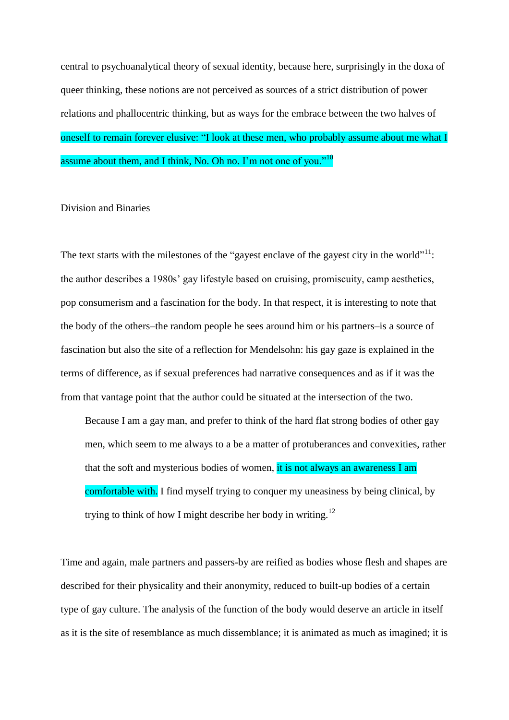central to psychoanalytical theory of sexual identity, because here, surprisingly in the doxa of queer thinking, these notions are not perceived as sources of a strict distribution of power relations and phallocentric thinking, but as ways for the embrace between the two halves of oneself to remain forever elusive: "I look at these men, who probably assume about me what I assume about them, and I think, No. Oh no. I'm not one of you."<sup>10</sup>

#### Division and Binaries

The text starts with the milestones of the "gayest enclave of the gayest city in the world" $^{11}$ : the author describes a 1980s' gay lifestyle based on cruising, promiscuity, camp aesthetics, pop consumerism and a fascination for the body. In that respect, it is interesting to note that the body of the others–the random people he sees around him or his partners–is a source of fascination but also the site of a reflection for Mendelsohn: his gay gaze is explained in the terms of difference, as if sexual preferences had narrative consequences and as if it was the from that vantage point that the author could be situated at the intersection of the two.

Because I am a gay man, and prefer to think of the hard flat strong bodies of other gay men, which seem to me always to a be a matter of protuberances and convexities, rather that the soft and mysterious bodies of women, it is not always an awareness I am comfortable with. I find myself trying to conquer my uneasiness by being clinical, by trying to think of how I might describe her body in writing.<sup>12</sup>

Time and again, male partners and passers-by are reified as bodies whose flesh and shapes are described for their physicality and their anonymity, reduced to built-up bodies of a certain type of gay culture. The analysis of the function of the body would deserve an article in itself as it is the site of resemblance as much dissemblance; it is animated as much as imagined; it is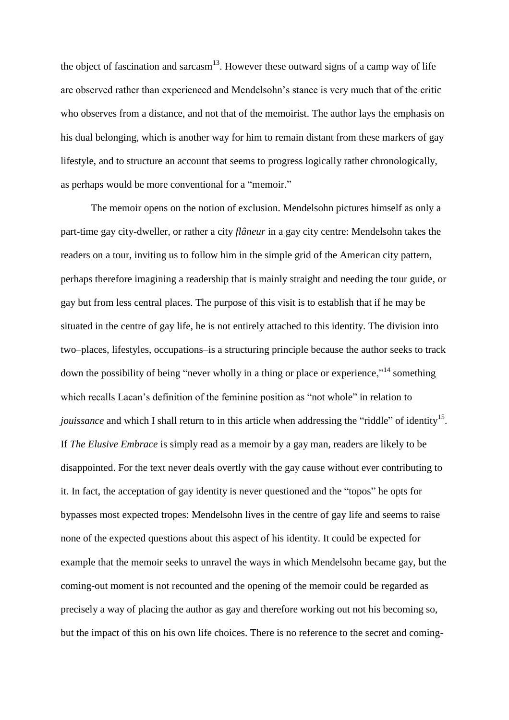the object of fascination and sarcasm<sup>13</sup>. However these outward signs of a camp way of life are observed rather than experienced and Mendelsohn's stance is very much that of the critic who observes from a distance, and not that of the memoirist. The author lays the emphasis on his dual belonging, which is another way for him to remain distant from these markers of gay lifestyle, and to structure an account that seems to progress logically rather chronologically, as perhaps would be more conventional for a "memoir."

The memoir opens on the notion of exclusion. Mendelsohn pictures himself as only a part-time gay city-dweller, or rather a city *flâneur* in a gay city centre: Mendelsohn takes the readers on a tour, inviting us to follow him in the simple grid of the American city pattern, perhaps therefore imagining a readership that is mainly straight and needing the tour guide, or gay but from less central places. The purpose of this visit is to establish that if he may be situated in the centre of gay life, he is not entirely attached to this identity. The division into two–places, lifestyles, occupations–is a structuring principle because the author seeks to track down the possibility of being "never wholly in a thing or place or experience,"<sup>14</sup> something which recalls Lacan's definition of the feminine position as "not whole" in relation to *jouissance* and which I shall return to in this article when addressing the "riddle" of identity<sup>15</sup>. If *The Elusive Embrace* is simply read as a memoir by a gay man, readers are likely to be disappointed. For the text never deals overtly with the gay cause without ever contributing to it. In fact, the acceptation of gay identity is never questioned and the "topos" he opts for bypasses most expected tropes: Mendelsohn lives in the centre of gay life and seems to raise none of the expected questions about this aspect of his identity. It could be expected for example that the memoir seeks to unravel the ways in which Mendelsohn became gay, but the coming-out moment is not recounted and the opening of the memoir could be regarded as precisely a way of placing the author as gay and therefore working out not his becoming so, but the impact of this on his own life choices. There is no reference to the secret and coming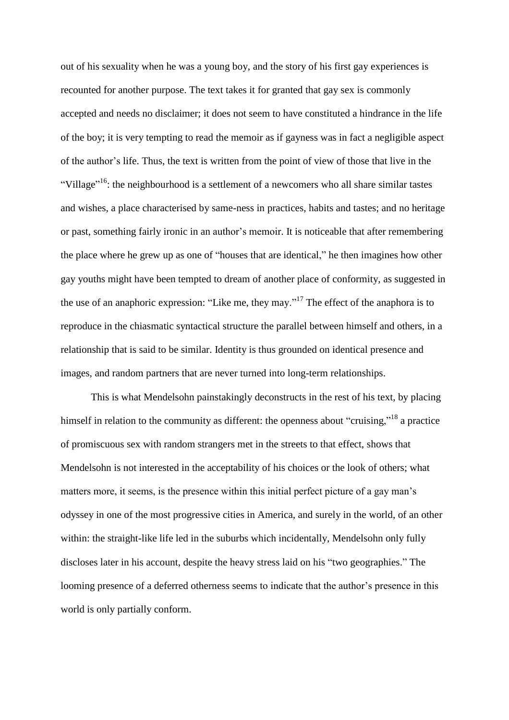out of his sexuality when he was a young boy, and the story of his first gay experiences is recounted for another purpose. The text takes it for granted that gay sex is commonly accepted and needs no disclaimer; it does not seem to have constituted a hindrance in the life of the boy; it is very tempting to read the memoir as if gayness was in fact a negligible aspect of the author's life. Thus, the text is written from the point of view of those that live in the "Village"<sup>16</sup>: the neighbourhood is a settlement of a newcomers who all share similar tastes and wishes, a place characterised by same-ness in practices, habits and tastes; and no heritage or past, something fairly ironic in an author's memoir. It is noticeable that after remembering the place where he grew up as one of "houses that are identical," he then imagines how other gay youths might have been tempted to dream of another place of conformity, as suggested in the use of an anaphoric expression: "Like me, they may."<sup>17</sup> The effect of the anaphora is to reproduce in the chiasmatic syntactical structure the parallel between himself and others, in a relationship that is said to be similar. Identity is thus grounded on identical presence and images, and random partners that are never turned into long-term relationships.

This is what Mendelsohn painstakingly deconstructs in the rest of his text, by placing himself in relation to the community as different: the openness about "cruising,"<sup>18</sup> a practice of promiscuous sex with random strangers met in the streets to that effect, shows that Mendelsohn is not interested in the acceptability of his choices or the look of others; what matters more, it seems, is the presence within this initial perfect picture of a gay man's odyssey in one of the most progressive cities in America, and surely in the world, of an other within: the straight-like life led in the suburbs which incidentally, Mendelsohn only fully discloses later in his account, despite the heavy stress laid on his "two geographies." The looming presence of a deferred otherness seems to indicate that the author's presence in this world is only partially conform.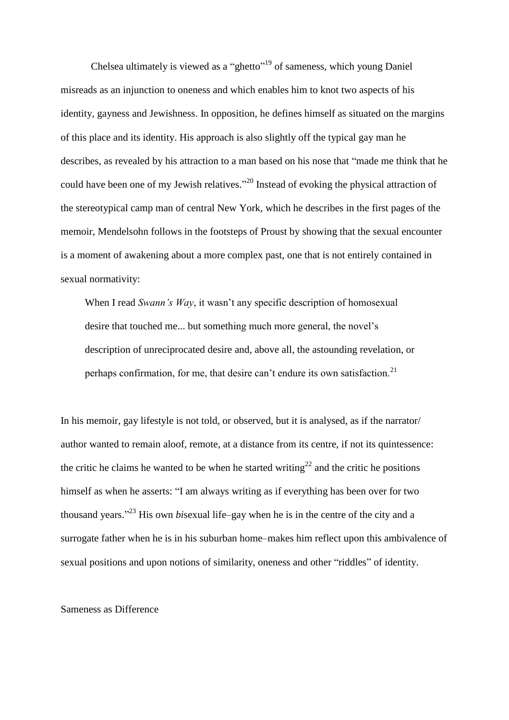Chelsea ultimately is viewed as a "ghetto"<sup>19</sup> of sameness, which young Daniel misreads as an injunction to oneness and which enables him to knot two aspects of his identity, gayness and Jewishness. In opposition, he defines himself as situated on the margins of this place and its identity. His approach is also slightly off the typical gay man he describes, as revealed by his attraction to a man based on his nose that "made me think that he could have been one of my Jewish relatives."<sup>20</sup> Instead of evoking the physical attraction of the stereotypical camp man of central New York, which he describes in the first pages of the memoir, Mendelsohn follows in the footsteps of Proust by showing that the sexual encounter is a moment of awakening about a more complex past, one that is not entirely contained in sexual normativity:

When I read *Swann's Way*, it wasn't any specific description of homosexual desire that touched me... but something much more general, the novel's description of unreciprocated desire and, above all, the astounding revelation, or perhaps confirmation, for me, that desire can't endure its own satisfaction.<sup>21</sup>

In his memoir, gay lifestyle is not told, or observed, but it is analysed, as if the narrator/ author wanted to remain aloof, remote, at a distance from its centre, if not its quintessence: the critic he claims he wanted to be when he started writing<sup>22</sup> and the critic he positions himself as when he asserts: "I am always writing as if everything has been over for two thousand years." <sup>23</sup> His own *bi*sexual life–gay when he is in the centre of the city and a surrogate father when he is in his suburban home–makes him reflect upon this ambivalence of sexual positions and upon notions of similarity, oneness and other "riddles" of identity.

#### Sameness as Difference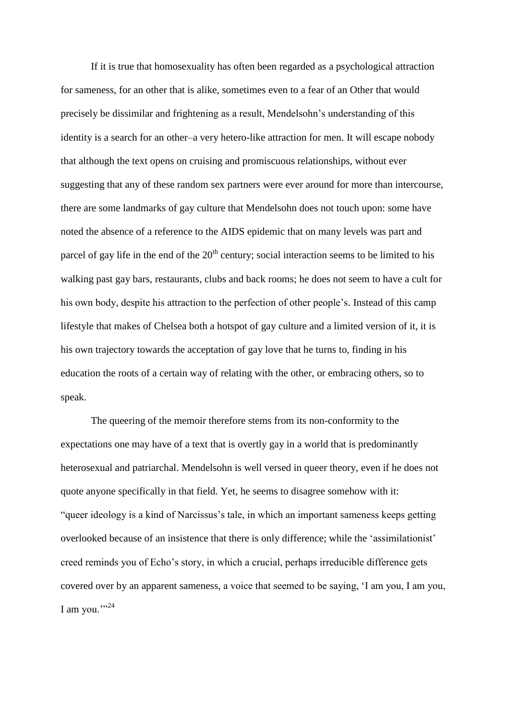If it is true that homosexuality has often been regarded as a psychological attraction for sameness, for an other that is alike, sometimes even to a fear of an Other that would precisely be dissimilar and frightening as a result, Mendelsohn's understanding of this identity is a search for an other–a very hetero-like attraction for men. It will escape nobody that although the text opens on cruising and promiscuous relationships, without ever suggesting that any of these random sex partners were ever around for more than intercourse, there are some landmarks of gay culture that Mendelsohn does not touch upon: some have noted the absence of a reference to the AIDS epidemic that on many levels was part and parcel of gay life in the end of the  $20<sup>th</sup>$  century; social interaction seems to be limited to his walking past gay bars, restaurants, clubs and back rooms; he does not seem to have a cult for his own body, despite his attraction to the perfection of other people's. Instead of this camp lifestyle that makes of Chelsea both a hotspot of gay culture and a limited version of it, it is his own trajectory towards the acceptation of gay love that he turns to, finding in his education the roots of a certain way of relating with the other, or embracing others, so to speak.

The queering of the memoir therefore stems from its non-conformity to the expectations one may have of a text that is overtly gay in a world that is predominantly heterosexual and patriarchal. Mendelsohn is well versed in queer theory, even if he does not quote anyone specifically in that field. Yet, he seems to disagree somehow with it: "queer ideology is a kind of Narcissus's tale, in which an important sameness keeps getting overlooked because of an insistence that there is only difference; while the 'assimilationist' creed reminds you of Echo's story, in which a crucial, perhaps irreducible difference gets covered over by an apparent sameness, a voice that seemed to be saying, 'I am you, I am you, I am you." $^{324}$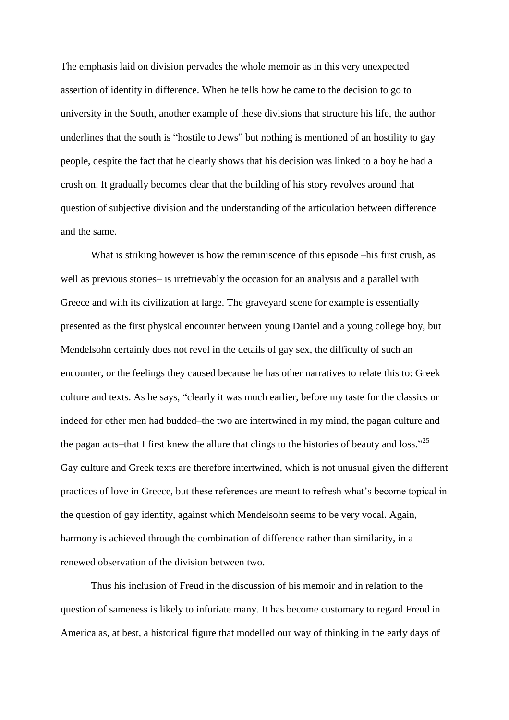The emphasis laid on division pervades the whole memoir as in this very unexpected assertion of identity in difference. When he tells how he came to the decision to go to university in the South, another example of these divisions that structure his life, the author underlines that the south is "hostile to Jews" but nothing is mentioned of an hostility to gay people, despite the fact that he clearly shows that his decision was linked to a boy he had a crush on. It gradually becomes clear that the building of his story revolves around that question of subjective division and the understanding of the articulation between difference and the same.

What is striking however is how the reminiscence of this episode –his first crush, as well as previous stories– is irretrievably the occasion for an analysis and a parallel with Greece and with its civilization at large. The graveyard scene for example is essentially presented as the first physical encounter between young Daniel and a young college boy, but Mendelsohn certainly does not revel in the details of gay sex, the difficulty of such an encounter, or the feelings they caused because he has other narratives to relate this to: Greek culture and texts. As he says, "clearly it was much earlier, before my taste for the classics or indeed for other men had budded–the two are intertwined in my mind, the pagan culture and the pagan acts–that I first knew the allure that clings to the histories of beauty and loss."<sup>25</sup> Gay culture and Greek texts are therefore intertwined, which is not unusual given the different practices of love in Greece, but these references are meant to refresh what's become topical in the question of gay identity, against which Mendelsohn seems to be very vocal. Again, harmony is achieved through the combination of difference rather than similarity, in a renewed observation of the division between two.

Thus his inclusion of Freud in the discussion of his memoir and in relation to the question of sameness is likely to infuriate many. It has become customary to regard Freud in America as, at best, a historical figure that modelled our way of thinking in the early days of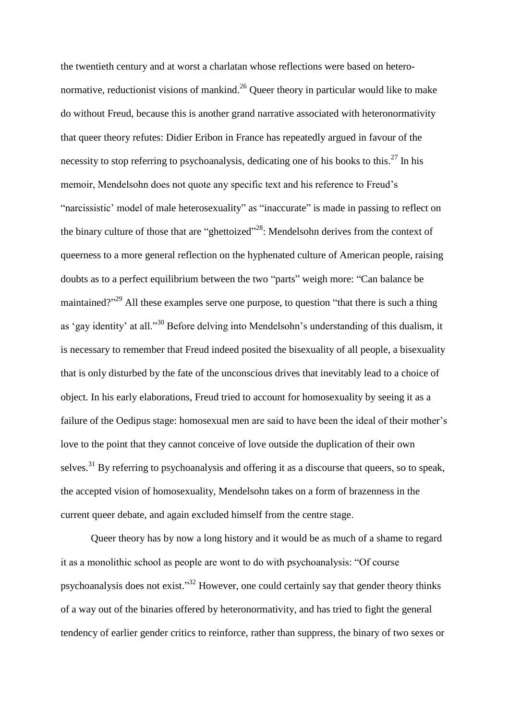the twentieth century and at worst a charlatan whose reflections were based on heteronormative, reductionist visions of mankind.<sup>26</sup> Queer theory in particular would like to make do without Freud, because this is another grand narrative associated with heteronormativity that queer theory refutes: Didier Eribon in France has repeatedly argued in favour of the necessity to stop referring to psychoanalysis, dedicating one of his books to this.<sup>27</sup> In his memoir, Mendelsohn does not quote any specific text and his reference to Freud's "narcissistic' model of male heterosexuality" as "inaccurate" is made in passing to reflect on the binary culture of those that are "ghettoized"<sup>28</sup>: Mendelsohn derives from the context of queerness to a more general reflection on the hyphenated culture of American people, raising doubts as to a perfect equilibrium between the two "parts" weigh more: "Can balance be maintained?"<sup>29</sup> All these examples serve one purpose, to question "that there is such a thing as 'gay identity' at all."<sup>30</sup> Before delving into Mendelsohn's understanding of this dualism, it is necessary to remember that Freud indeed posited the bisexuality of all people, a bisexuality that is only disturbed by the fate of the unconscious drives that inevitably lead to a choice of object. In his early elaborations, Freud tried to account for homosexuality by seeing it as a failure of the Oedipus stage: homosexual men are said to have been the ideal of their mother's love to the point that they cannot conceive of love outside the duplication of their own selves.<sup>31</sup> By referring to psychoanalysis and offering it as a discourse that queers, so to speak, the accepted vision of homosexuality, Mendelsohn takes on a form of brazenness in the current queer debate, and again excluded himself from the centre stage.

Queer theory has by now a long history and it would be as much of a shame to regard it as a monolithic school as people are wont to do with psychoanalysis: "Of course psychoanalysis does not exist."<sup>32</sup> However, one could certainly say that gender theory thinks of a way out of the binaries offered by heteronormativity, and has tried to fight the general tendency of earlier gender critics to reinforce, rather than suppress, the binary of two sexes or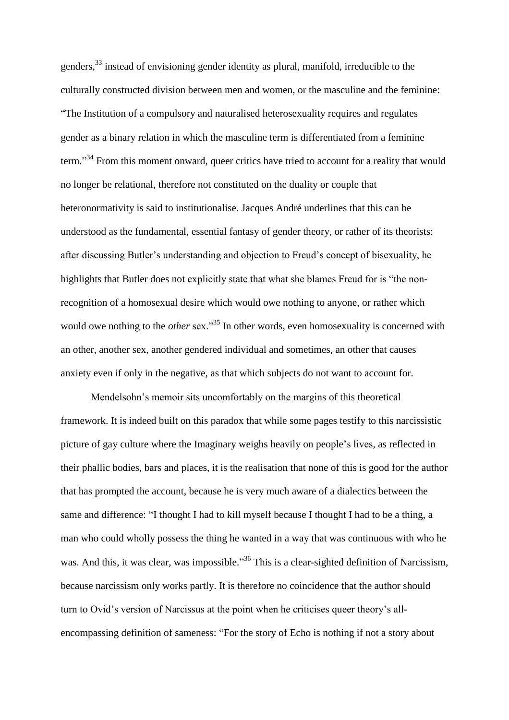genders,<sup>33</sup> instead of envisioning gender identity as plural, manifold, irreducible to the culturally constructed division between men and women, or the masculine and the feminine: "The Institution of a compulsory and naturalised heterosexuality requires and regulates gender as a binary relation in which the masculine term is differentiated from a feminine term."<sup>34</sup> From this moment onward, queer critics have tried to account for a reality that would no longer be relational, therefore not constituted on the duality or couple that heteronormativity is said to institutionalise. Jacques André underlines that this can be understood as the fundamental, essential fantasy of gender theory, or rather of its theorists: after discussing Butler's understanding and objection to Freud's concept of bisexuality, he highlights that Butler does not explicitly state that what she blames Freud for is "the nonrecognition of a homosexual desire which would owe nothing to anyone, or rather which would owe nothing to the *other* sex."<sup>35</sup> In other words, even homosexuality is concerned with an other, another sex, another gendered individual and sometimes, an other that causes anxiety even if only in the negative, as that which subjects do not want to account for.

Mendelsohn's memoir sits uncomfortably on the margins of this theoretical framework. It is indeed built on this paradox that while some pages testify to this narcissistic picture of gay culture where the Imaginary weighs heavily on people's lives, as reflected in their phallic bodies, bars and places, it is the realisation that none of this is good for the author that has prompted the account, because he is very much aware of a dialectics between the same and difference: "I thought I had to kill myself because I thought I had to be a thing, a man who could wholly possess the thing he wanted in a way that was continuous with who he was. And this, it was clear, was impossible."<sup>36</sup> This is a clear-sighted definition of Narcissism, because narcissism only works partly. It is therefore no coincidence that the author should turn to Ovid's version of Narcissus at the point when he criticises queer theory's allencompassing definition of sameness: "For the story of Echo is nothing if not a story about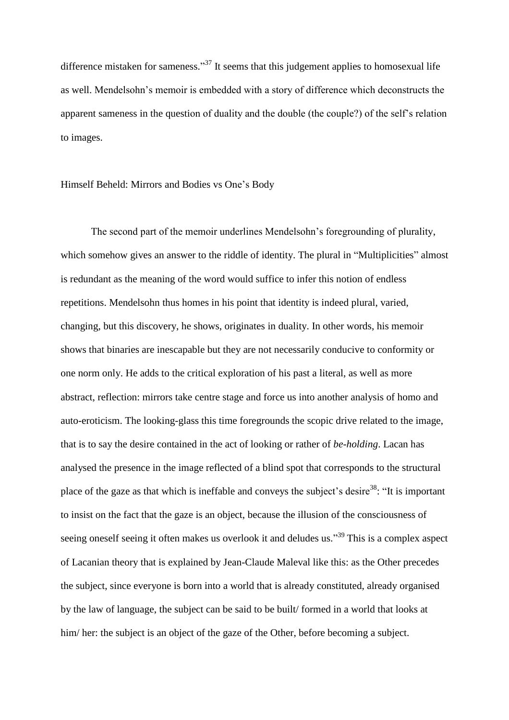difference mistaken for sameness."<sup>37</sup> It seems that this judgement applies to homosexual life as well. Mendelsohn's memoir is embedded with a story of difference which deconstructs the apparent sameness in the question of duality and the double (the couple?) of the self's relation to images.

#### Himself Beheld: Mirrors and Bodies vs One's Body

The second part of the memoir underlines Mendelsohn's foregrounding of plurality, which somehow gives an answer to the riddle of identity. The plural in "Multiplicities" almost is redundant as the meaning of the word would suffice to infer this notion of endless repetitions. Mendelsohn thus homes in his point that identity is indeed plural, varied, changing, but this discovery, he shows, originates in duality. In other words, his memoir shows that binaries are inescapable but they are not necessarily conducive to conformity or one norm only. He adds to the critical exploration of his past a literal, as well as more abstract, reflection: mirrors take centre stage and force us into another analysis of homo and auto-eroticism. The looking-glass this time foregrounds the scopic drive related to the image, that is to say the desire contained in the act of looking or rather of *be-holding*. Lacan has analysed the presence in the image reflected of a blind spot that corresponds to the structural place of the gaze as that which is ineffable and conveys the subject's desire<sup>38</sup>: "It is important to insist on the fact that the gaze is an object, because the illusion of the consciousness of seeing oneself seeing it often makes us overlook it and deludes us."<sup>39</sup> This is a complex aspect of Lacanian theory that is explained by Jean-Claude Maleval like this: as the Other precedes the subject, since everyone is born into a world that is already constituted, already organised by the law of language, the subject can be said to be built/ formed in a world that looks at him/her: the subject is an object of the gaze of the Other, before becoming a subject.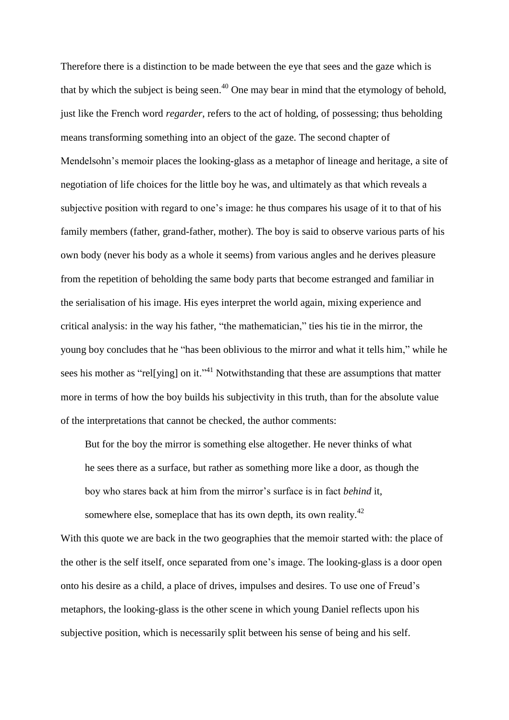Therefore there is a distinction to be made between the eye that sees and the gaze which is that by which the subject is being seen.<sup>40</sup> One may bear in mind that the etymology of behold, just like the French word *regarder*, refers to the act of holding, of possessing; thus beholding means transforming something into an object of the gaze. The second chapter of Mendelsohn's memoir places the looking-glass as a metaphor of lineage and heritage, a site of negotiation of life choices for the little boy he was, and ultimately as that which reveals a subjective position with regard to one's image: he thus compares his usage of it to that of his family members (father, grand-father, mother). The boy is said to observe various parts of his own body (never his body as a whole it seems) from various angles and he derives pleasure from the repetition of beholding the same body parts that become estranged and familiar in the serialisation of his image. His eyes interpret the world again, mixing experience and critical analysis: in the way his father, "the mathematician," ties his tie in the mirror, the young boy concludes that he "has been oblivious to the mirror and what it tells him," while he sees his mother as "rel[ying] on it."<sup>41</sup> Notwithstanding that these are assumptions that matter more in terms of how the boy builds his subjectivity in this truth, than for the absolute value of the interpretations that cannot be checked, the author comments:

But for the boy the mirror is something else altogether. He never thinks of what he sees there as a surface, but rather as something more like a door, as though the boy who stares back at him from the mirror's surface is in fact *behind* it,

somewhere else, someplace that has its own depth, its own reality. $42$ With this quote we are back in the two geographies that the memoir started with: the place of the other is the self itself, once separated from one's image. The looking-glass is a door open onto his desire as a child, a place of drives, impulses and desires. To use one of Freud's metaphors, the looking-glass is the other scene in which young Daniel reflects upon his subjective position, which is necessarily split between his sense of being and his self.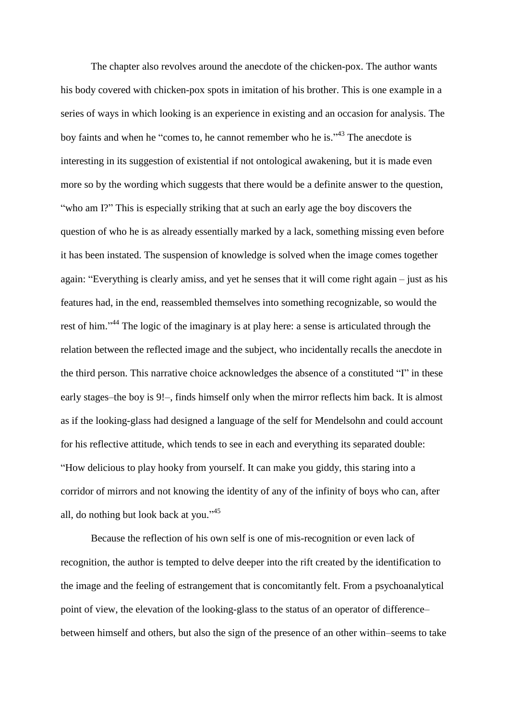The chapter also revolves around the anecdote of the chicken-pox. The author wants his body covered with chicken-pox spots in imitation of his brother. This is one example in a series of ways in which looking is an experience in existing and an occasion for analysis. The boy faints and when he "comes to, he cannot remember who he is."<sup>43</sup> The anecdote is interesting in its suggestion of existential if not ontological awakening, but it is made even more so by the wording which suggests that there would be a definite answer to the question, "who am I?" This is especially striking that at such an early age the boy discovers the question of who he is as already essentially marked by a lack, something missing even before it has been instated. The suspension of knowledge is solved when the image comes together again: "Everything is clearly amiss, and yet he senses that it will come right again – just as his features had, in the end, reassembled themselves into something recognizable, so would the rest of him."<sup>44</sup> The logic of the imaginary is at play here: a sense is articulated through the relation between the reflected image and the subject, who incidentally recalls the anecdote in the third person. This narrative choice acknowledges the absence of a constituted "I" in these early stages–the boy is 9!–, finds himself only when the mirror reflects him back. It is almost as if the looking-glass had designed a language of the self for Mendelsohn and could account for his reflective attitude, which tends to see in each and everything its separated double: "How delicious to play hooky from yourself. It can make you giddy, this staring into a corridor of mirrors and not knowing the identity of any of the infinity of boys who can, after all, do nothing but look back at you." 45

Because the reflection of his own self is one of mis-recognition or even lack of recognition, the author is tempted to delve deeper into the rift created by the identification to the image and the feeling of estrangement that is concomitantly felt. From a psychoanalytical point of view, the elevation of the looking-glass to the status of an operator of difference– between himself and others, but also the sign of the presence of an other within–seems to take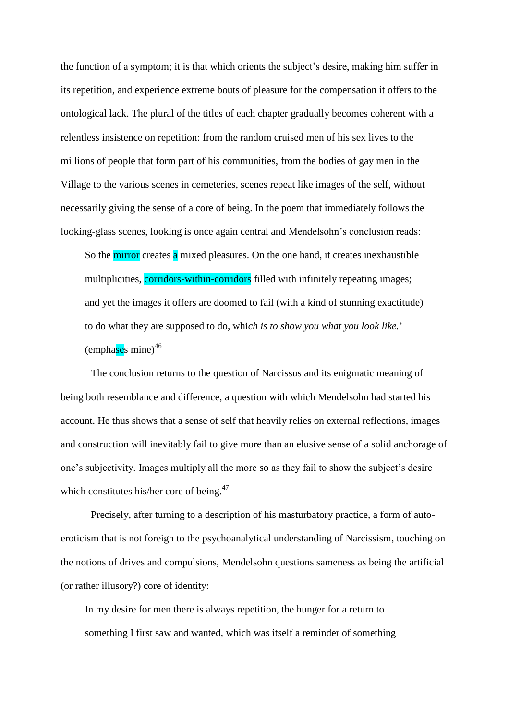the function of a symptom; it is that which orients the subject's desire, making him suffer in its repetition, and experience extreme bouts of pleasure for the compensation it offers to the ontological lack. The plural of the titles of each chapter gradually becomes coherent with a relentless insistence on repetition: from the random cruised men of his sex lives to the millions of people that form part of his communities, from the bodies of gay men in the Village to the various scenes in cemeteries, scenes repeat like images of the self, without necessarily giving the sense of a core of being. In the poem that immediately follows the looking-glass scenes, looking is once again central and Mendelsohn's conclusion reads:

So the mirror creates a mixed pleasures. On the one hand, it creates inexhaustible multiplicities, corridors-within-corridors filled with infinitely repeating images; and yet the images it offers are doomed to fail (with a kind of stunning exactitude) to do what they are supposed to do, whi*ch is to show you what you look like.*' (emphases mine)<sup>46</sup>

The conclusion returns to the question of Narcissus and its enigmatic meaning of being both resemblance and difference, a question with which Mendelsohn had started his account. He thus shows that a sense of self that heavily relies on external reflections, images and construction will inevitably fail to give more than an elusive sense of a solid anchorage of one's subjectivity. Images multiply all the more so as they fail to show the subject's desire which constitutes his/her core of being.<sup>47</sup>

Precisely, after turning to a description of his masturbatory practice, a form of autoeroticism that is not foreign to the psychoanalytical understanding of Narcissism, touching on the notions of drives and compulsions, Mendelsohn questions sameness as being the artificial (or rather illusory?) core of identity:

In my desire for men there is always repetition, the hunger for a return to something I first saw and wanted, which was itself a reminder of something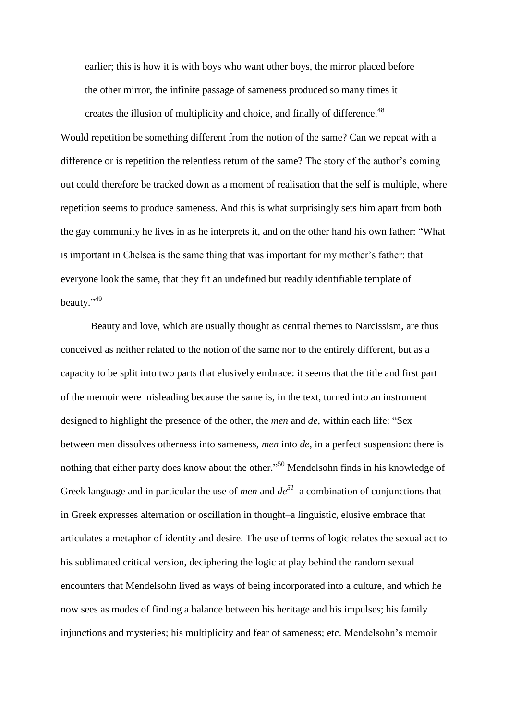earlier; this is how it is with boys who want other boys, the mirror placed before the other mirror, the infinite passage of sameness produced so many times it creates the illusion of multiplicity and choice, and finally of difference.<sup>48</sup>

Would repetition be something different from the notion of the same? Can we repeat with a difference or is repetition the relentless return of the same? The story of the author's coming out could therefore be tracked down as a moment of realisation that the self is multiple, where repetition seems to produce sameness. And this is what surprisingly sets him apart from both the gay community he lives in as he interprets it, and on the other hand his own father: "What is important in Chelsea is the same thing that was important for my mother's father: that everyone look the same, that they fit an undefined but readily identifiable template of beauty."<sup>49</sup>

Beauty and love, which are usually thought as central themes to Narcissism, are thus conceived as neither related to the notion of the same nor to the entirely different, but as a capacity to be split into two parts that elusively embrace: it seems that the title and first part of the memoir were misleading because the same is, in the text, turned into an instrument designed to highlight the presence of the other, the *men* and *de*, within each life: "Sex between men dissolves otherness into sameness, *men* into *de*, in a perfect suspension: there is nothing that either party does know about the other."<sup>50</sup> Mendelsohn finds in his knowledge of Greek language and in particular the use of *men* and *de<sup>51</sup>* –a combination of conjunctions that in Greek expresses alternation or oscillation in thought–a linguistic, elusive embrace that articulates a metaphor of identity and desire. The use of terms of logic relates the sexual act to his sublimated critical version, deciphering the logic at play behind the random sexual encounters that Mendelsohn lived as ways of being incorporated into a culture, and which he now sees as modes of finding a balance between his heritage and his impulses; his family injunctions and mysteries; his multiplicity and fear of sameness; etc. Mendelsohn's memoir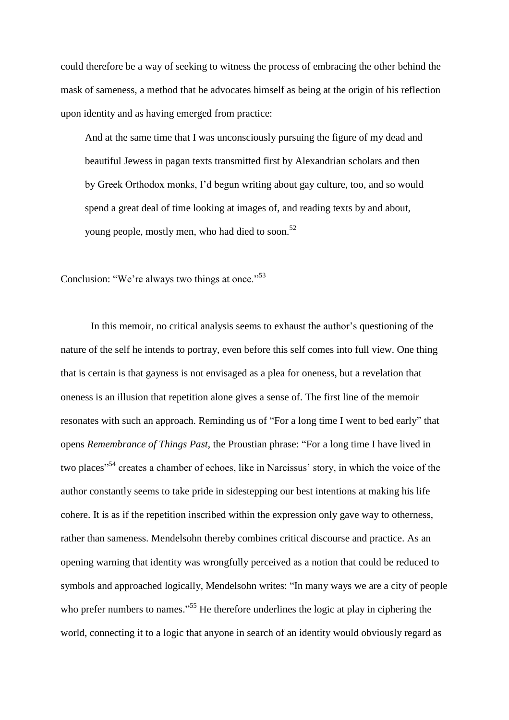could therefore be a way of seeking to witness the process of embracing the other behind the mask of sameness, a method that he advocates himself as being at the origin of his reflection upon identity and as having emerged from practice:

And at the same time that I was unconsciously pursuing the figure of my dead and beautiful Jewess in pagan texts transmitted first by Alexandrian scholars and then by Greek Orthodox monks, I'd begun writing about gay culture, too, and so would spend a great deal of time looking at images of, and reading texts by and about, young people, mostly men, who had died to soon.<sup>52</sup>

Conclusion: "We're always two things at once."<sup>53</sup>

In this memoir, no critical analysis seems to exhaust the author's questioning of the nature of the self he intends to portray, even before this self comes into full view. One thing that is certain is that gayness is not envisaged as a plea for oneness, but a revelation that oneness is an illusion that repetition alone gives a sense of. The first line of the memoir resonates with such an approach. Reminding us of "For a long time I went to bed early" that opens *Remembrance of Things Past*, the Proustian phrase: "For a long time I have lived in two places<sup>"54</sup> creates a chamber of echoes, like in Narcissus' story, in which the voice of the author constantly seems to take pride in sidestepping our best intentions at making his life cohere. It is as if the repetition inscribed within the expression only gave way to otherness, rather than sameness. Mendelsohn thereby combines critical discourse and practice. As an opening warning that identity was wrongfully perceived as a notion that could be reduced to symbols and approached logically, Mendelsohn writes: "In many ways we are a city of people who prefer numbers to names."<sup>55</sup> He therefore underlines the logic at play in ciphering the world, connecting it to a logic that anyone in search of an identity would obviously regard as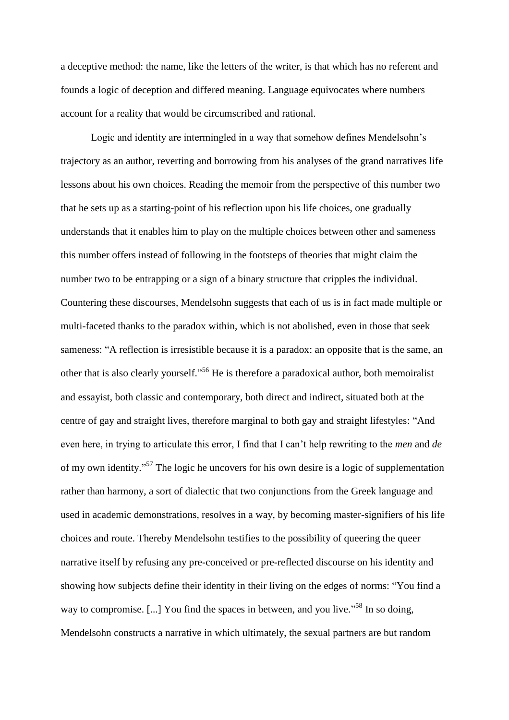a deceptive method: the name, like the letters of the writer, is that which has no referent and founds a logic of deception and differed meaning. Language equivocates where numbers account for a reality that would be circumscribed and rational.

Logic and identity are intermingled in a way that somehow defines Mendelsohn's trajectory as an author, reverting and borrowing from his analyses of the grand narratives life lessons about his own choices. Reading the memoir from the perspective of this number two that he sets up as a starting-point of his reflection upon his life choices, one gradually understands that it enables him to play on the multiple choices between other and sameness this number offers instead of following in the footsteps of theories that might claim the number two to be entrapping or a sign of a binary structure that cripples the individual. Countering these discourses, Mendelsohn suggests that each of us is in fact made multiple or multi-faceted thanks to the paradox within, which is not abolished, even in those that seek sameness: "A reflection is irresistible because it is a paradox: an opposite that is the same, an other that is also clearly yourself."<sup>56</sup> He is therefore a paradoxical author, both memoiralist and essayist, both classic and contemporary, both direct and indirect, situated both at the centre of gay and straight lives, therefore marginal to both gay and straight lifestyles: "And even here, in trying to articulate this error, I find that I can't help rewriting to the *men* and *de*  of my own identity."<sup>57</sup> The logic he uncovers for his own desire is a logic of supplementation rather than harmony, a sort of dialectic that two conjunctions from the Greek language and used in academic demonstrations, resolves in a way, by becoming master-signifiers of his life choices and route. Thereby Mendelsohn testifies to the possibility of queering the queer narrative itself by refusing any pre-conceived or pre-reflected discourse on his identity and showing how subjects define their identity in their living on the edges of norms: "You find a way to compromise. [...] You find the spaces in between, and you live."<sup>58</sup> In so doing, Mendelsohn constructs a narrative in which ultimately, the sexual partners are but random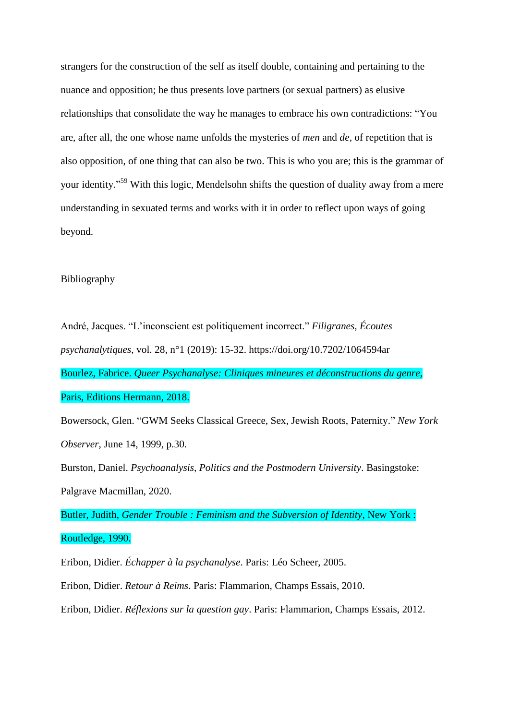strangers for the construction of the self as itself double, containing and pertaining to the nuance and opposition; he thus presents love partners (or sexual partners) as elusive relationships that consolidate the way he manages to embrace his own contradictions: "You are, after all, the one whose name unfolds the mysteries of *men* and *de*, of repetition that is also opposition, of one thing that can also be two. This is who you are; this is the grammar of your identity."<sup>59</sup> With this logic, Mendelsohn shifts the question of duality away from a mere understanding in sexuated terms and works with it in order to reflect upon ways of going beyond.

#### Bibliography

André, Jacques. "L'inconscient est politiquement incorrect." *Filigranes, Écoutes psychanalytiques*, vol. 28, n°1 (2019): 15-32. https://doi.org/10.7202/1064594ar Bourlez, Fabrice. *Queer Psychanalyse: Cliniques mineures et déconstructions du genre*, Paris, Editions Hermann, 2018.

Bowersock, Glen. "GWM Seeks Classical Greece, Sex, Jewish Roots, Paternity." *New York Observer*, June 14, 1999, p.30.

Burston, Daniel. *Psychoanalysis, Politics and the Postmodern University*. Basingstoke: Palgrave Macmillan, 2020.

Butler, Judith, *Gender Trouble : Feminism and the Subversion of Identity*, New York :

Routledge, 1990.

Eribon, Didier. *Échapper à la psychanalyse*. Paris: Léo Scheer, 2005.

Eribon, Didier. *Retour à Reims*. Paris: Flammarion, Champs Essais, 2010.

Eribon, Didier. *Réflexions sur la question gay*. Paris: Flammarion, Champs Essais, 2012.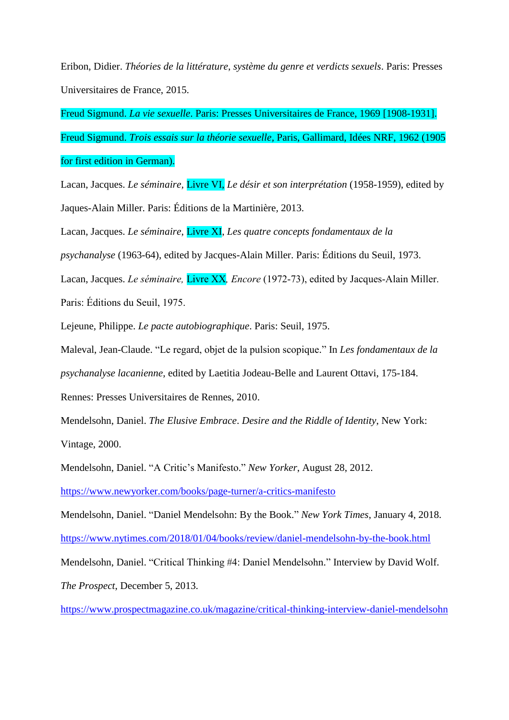Eribon, Didier. *Théories de la littérature*, *système du genre et verdicts sexuels*. Paris: Presses Universitaires de France, 2015.

Freud Sigmund. *La vie sexuelle*. Paris: Presses Universitaires de France, 1969 [1908-1931]. Freud Sigmund. *Trois essais sur la théorie sexuelle,* Paris, Gallimard, Idées NRF, 1962 (1905 for first edition in German).

Lacan, Jacques. *Le séminaire,* Livre VI, *Le désir et son interprétation* (1958-1959), edited by Jaques-Alain Miller. Paris: Éditions de la Martinière*,* 2013.

Lacan, Jacques. *Le séminaire*, Livre XI, *Les quatre concepts fondamentaux de la* 

*psychanalyse* (1963-64), edited by Jacques-Alain Miller. Paris: Éditions du Seuil, 1973.

Lacan, Jacques. *Le séminaire,* Livre XX*, Encore* (1972-73), edited by Jacques-Alain Miller.

Paris: Éditions du Seuil, 1975.

Lejeune, Philippe. *Le pacte autobiographique*. Paris: Seuil, 1975.

Maleval, Jean-Claude. "Le regard, objet de la pulsion scopique." In *Les fondamentaux de la* 

*psychanalyse lacanienne*, edited by Laetitia Jodeau-Belle and Laurent Ottavi, 175-184.

Rennes: Presses Universitaires de Rennes, 2010.

Mendelsohn, Daniel. *The Elusive Embrace*. *Desire and the Riddle of Identity*, New York: Vintage, 2000.

Mendelsohn, Daniel. "A Critic's Manifesto." *New Yorker*, August 28, 2012.

<https://www.newyorker.com/books/page-turner/a-critics-manifesto>

Mendelsohn, Daniel. "Daniel Mendelsohn: By the Book." *New York Times*, January 4, 2018. <https://www.nytimes.com/2018/01/04/books/review/daniel-mendelsohn-by-the-book.html>

Mendelsohn, Daniel. "Critical Thinking #4: Daniel Mendelsohn." Interview by David Wolf.

*The Prospect*, December 5, 2013.

<https://www.prospectmagazine.co.uk/magazine/critical-thinking-interview-daniel-mendelsohn>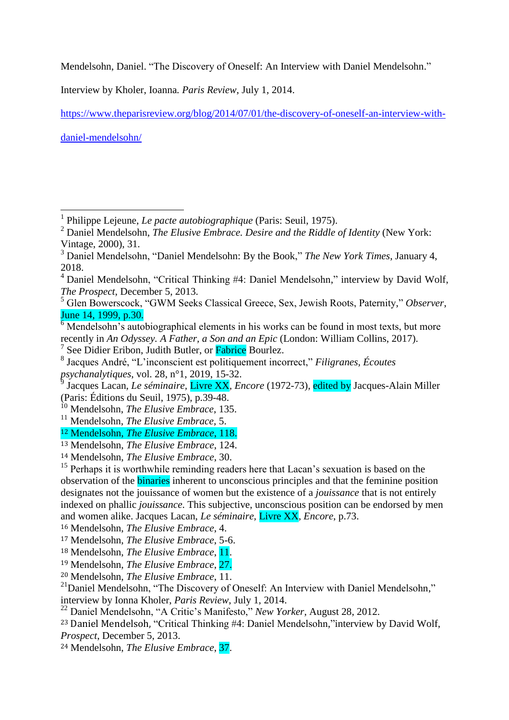Mendelsohn, Daniel. "The Discovery of Oneself: An Interview with Daniel Mendelsohn."

Interview by Kholer, Ioanna*. Paris Review*, July 1, 2014.

[https://www.theparisreview.org/blog/2014/07/01/the-discovery-of-oneself-an-interview-with-](https://www.theparisreview.org/blog/2014/07/01/the-discovery-of-oneself-an-interview-with-daniel-mendelsohn/)

[daniel-mendelsohn/](https://www.theparisreview.org/blog/2014/07/01/the-discovery-of-oneself-an-interview-with-daniel-mendelsohn/)

<sup>17</sup> Mendelsohn, *The Elusive Embrace*, 5-6.

<sup>19</sup> Mendelsohn, *The Elusive Embrace*, 27.

<sup>20</sup> Mendelsohn, *The Elusive Embrace*, 11.

 1 Philippe Lejeune, *Le pacte autobiographique* (Paris: Seuil, 1975).

<sup>2</sup> Daniel Mendelsohn, *The Elusive Embrace. Desire and the Riddle of Identity* (New York: Vintage, 2000), 31.

<sup>3</sup> Daniel Mendelsohn, "Daniel Mendelsohn: By the Book," *The New York Times*, January 4, 2018.

<sup>4</sup> Daniel Mendelsohn, "Critical Thinking #4: Daniel Mendelsohn," interview by David Wolf, *The Prospect*, December 5, 2013.

<sup>5</sup> Glen Bowerscock, "GWM Seeks Classical Greece, Sex, Jewish Roots, Paternity," *Observer*, June 14, 1999, p.30.

 $6$  Mendelsohn's autobiographical elements in his works can be found in most texts, but more recently in *An Odyssey. A Father, a Son and an Epic* (London: William Collins, 2017).

<sup>7</sup> See Didier Eribon, Judith Butler, or Fabrice Bourlez.

<sup>8</sup> Jacques André, "L'inconscient est politiquement incorrect," *Filigranes, Écoutes psychanalytiques*, vol. 28, n°1, 2019, 15-32.

<sup>&</sup>lt;sup>9</sup> Jacques Lacan, *Le séminaire,* Livre XX, *Encore* (1972-73), edited by Jacques-Alain Miller (Paris: Éditions du Seuil, 1975), p.39-48.

<sup>&</sup>lt;sup>10</sup> Mendelsohn, *The Elusive Embrace*, 135.

<sup>11</sup> Mendelsohn, *The Elusive Embrace*, 5.

<sup>12</sup> Mendelsohn, *The Elusive Embrace*, 118.

<sup>13</sup> Mendelsohn, *The Elusive Embrace*, 124.

<sup>14</sup> Mendelsohn, *The Elusive Embrace*, 30.

<sup>&</sup>lt;sup>15</sup> Perhaps it is worthwhile reminding readers here that Lacan's sexuation is based on the observation of the binaries inherent to unconscious principles and that the feminine position designates not the jouissance of women but the existence of a *jouissance* that is not entirely indexed on phallic *jouissance*. This subjective, unconscious position can be endorsed by men and women alike. Jacques Lacan, *Le séminaire,* Livre XX*, Encore*, p.73.

<sup>16</sup> Mendelsohn, *The Elusive Embrace*, 4.

<sup>18</sup> Mendelsohn, *The Elusive Embrace*, 11.

<sup>&</sup>lt;sup>21</sup>Daniel Mendelsohn, "The Discovery of Oneself: An Interview with Daniel Mendelsohn," interview by Ionna Kholer, *Paris Review*, July 1, 2014.

<sup>22</sup> Daniel Mendelsohn, "A Critic's Manifesto," *New Yorker*, August 28, 2012.

<sup>23</sup> Daniel Mendelsoh, "Critical Thinking #4: Daniel Mendelsohn,"interview by David Wolf, *Prospect*, December 5, 2013.

<sup>24</sup> Mendelsohn, *The Elusive Embrace*, 37.